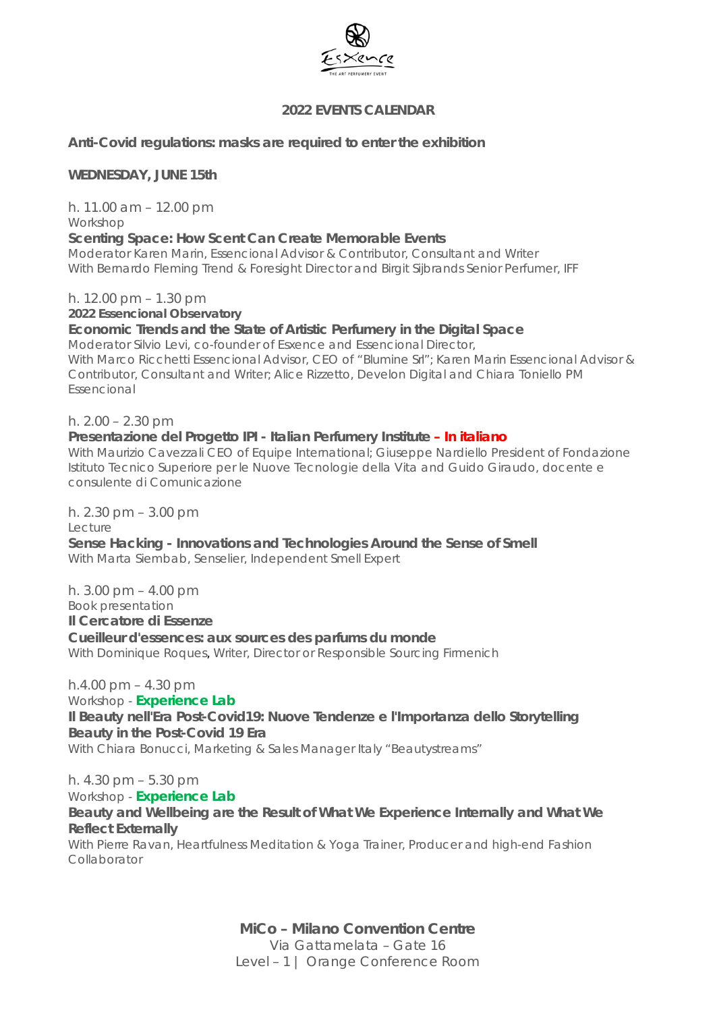

# **2022 EVENTS CALENDAR**

**Anti-Covid regulations: masks are required to enter the exhibition**

### **WEDNESDAY, JUNE 15th**

h. 11.00 am – 12.00 pm *Workshop*

### **Scenting Space: How Scent Can Create Memorable Events**

*Moderator Karen Marin, Essencional Advisor & Contributor, Consultant and Writer With Bernardo Fleming Trend & Foresight Director and Birgit Sijbrands Senior Perfumer, IFF*

h. 12.00 pm – 1.30 pm

**2022** *Essencional* **Observatory** 

### **Economic Trends and the State of Artistic Perfumery in the Digital Space**

*Moderator Silvio Levi, co-founder of Esxence and Essencional Director, With Marco Ricchetti Essencional Advisor, CEO of "Blumine Srl"; Karen Marin Essencional Advisor & Contributor, Consultant and Writer; Alice Rizzetto, Develon Digital and Chiara Toniello PM Essencional*

### h. 2.00 – 2.30 pm

### **Presentazione del Progetto IPI - Italian Perfumery Institute – In italiano**

*With Maurizio Cavezzali CEO of Equipe International; Giuseppe Nardiello President of Fondazione Istituto Tecnico Superiore per le Nuove Tecnologie della Vita and Guido Giraudo, docente e consulente di Comunicazione*

h. 2.30 pm – 3.00 pm *Lecture* **Sense Hacking - Innovations and Technologies Around the Sense of Smell**

*With Marta Siembab, Senselier, Independent Smell Expert*

h. 3.00 pm – 4.00 pm *Book presentation* **Il Cercatore di Essenze Cueilleur d'essences: aux sources des parfums du monde** *With Dominique Roques, Writer, Director or Responsible Sourcing Firmenich*

### h.4.00 pm – 4.30 pm

*Workshop -* **Experience Lab Il Beauty nell'Era Post-Covid19: Nuove Tendenze e l'Importanza dello Storytelling**  *Beauty in the Post-Covid 19 Era With Chiara Bonucci, Marketing & Sales Manager Italy "Beautystreams"*

h. 4.30 pm – 5.30 pm

### *Workshop -* **Experience Lab**

**Beauty and Wellbeing are the Result of What We Experience Internally and What We Reflect Externally**

With Pierre Ravan, *Heartfulness Meditation & Yoga Trainer, Producer and high-end Fashion Collaborator*

> **MiCo – Milano Convention Centre** Via Gattamelata – Gate 16 Level – 1 | *Orange* Conference Room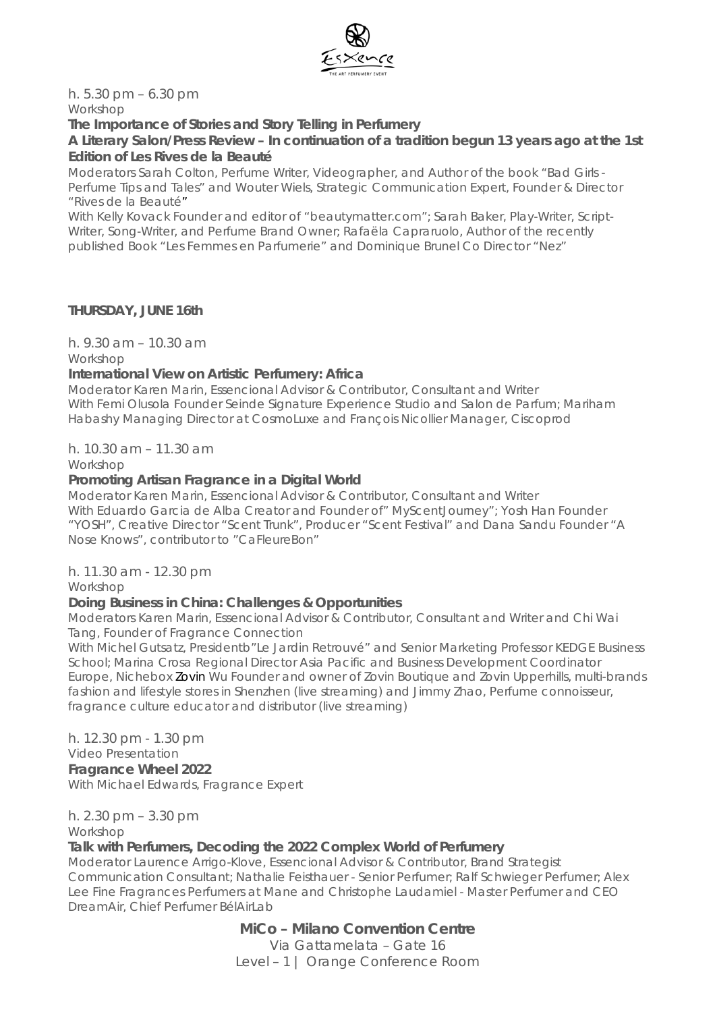

h. 5.30 pm – 6.30 pm *Workshop*

### **The Importance of Stories and Story Telling in Perfumery**

**A Literary Salon/Press Review – In continuation of a tradition begun 13 years ago at the 1st Edition of** *Les Rives de la Beauté*

*Moderators Sarah Colton, Perfume Writer, Videographer, and Author of the book "Bad Girls - Perfume Tips and Tales" and Wouter Wiels, Strategic Communication Expert, Founder & Director "Rives de la Beauté"*

*With Kelly Kovack Founder and editor of "beautymatter.com"; Sarah Baker, Play-Writer, Script-Writer, Song-Writer, and Perfume Brand Owner; Rafaëla Capraruolo, Author of the recently published Book "Les Femmes en Parfumerie" and Dominique Brunel Co Director "Nez"*

### **THURSDAY, JUNE 16th**

h. 9.30 am – 10.30 am

*Workshop*

### **International View on Artistic Perfumery: Africa**

*Moderator Karen Marin, Essencional Advisor & Contributor, Consultant and Writer With Femi Olusola Founder Seinde Signature Experience Studio and Salon de Parfum; Mariham Habashy Managing Director at CosmoLuxe and François Nicollier Manager, Ciscoprod*

*h. 10.30 am – 11.30 am* 

*Workshop*

### **Promoting Artisan Fragrance in a Digital World**

*Moderator Karen Marin, Essencional Advisor & Contributor, Consultant and Writer With Eduardo Garcia de Alba Creator and Founder of" MyScentJourney"; Yosh Han Founder "YOSH", Creative Director "Scent Trunk", Producer "Scent Festival" and Dana Sandu Founder "A Nose Knows", contributor to "CaFleureBon"*

# h. 11.30 am - 12.30 pm

*Workshop*

# **Doing Business in China: Challenges & Opportunities**

*Moderators Karen Marin, Essencional Advisor & Contributor, Consultant and Writer and Chi Wai Tang, Founder of Fragrance Connection*

*With Michel Gutsatz, Presidentb"Le Jardin Retrouvé" and Senior Marketing Professor KEDGE Business School; Marina Crosa Regional Director Asia Pacific and Business Development Coordinator Europe, Nichebox Zovin Wu Founder and owner of Zovin Boutique and Zovin Upperhills, multi-brands fashion and lifestyle stores in Shenzhen (live streaming) and Jimmy Zhao, Perfume connoisseur, fragrance culture educator and distributor (live streaming)*

h. 12.30 pm - 1.30 pm

#### *Video Presentation* **Fragrance Wheel 2022**

*With Michael Edwards, Fragrance Expert*

h. 2.30 pm – 3.30 pm

*Workshop*

### **Talk with Perfumers, Decoding the 2022 Complex World of Perfumery**

*Moderator Laurence Arrigo-Klove, Essencional Advisor & Contributor, Brand Strategist Communication Consultant; Nathalie Feisthauer - Senior Perfumer; Ralf Schwieger Perfumer; Alex Lee Fine Fragrances Perfumers at Mane and Christophe Laudamiel - Master Perfumer and CEO DreamAir, Chief Perfumer BélAirLab*

**MiCo – Milano Convention Centre**

Via Gattamelata – Gate 16 Level – 1 | *Orange* Conference Room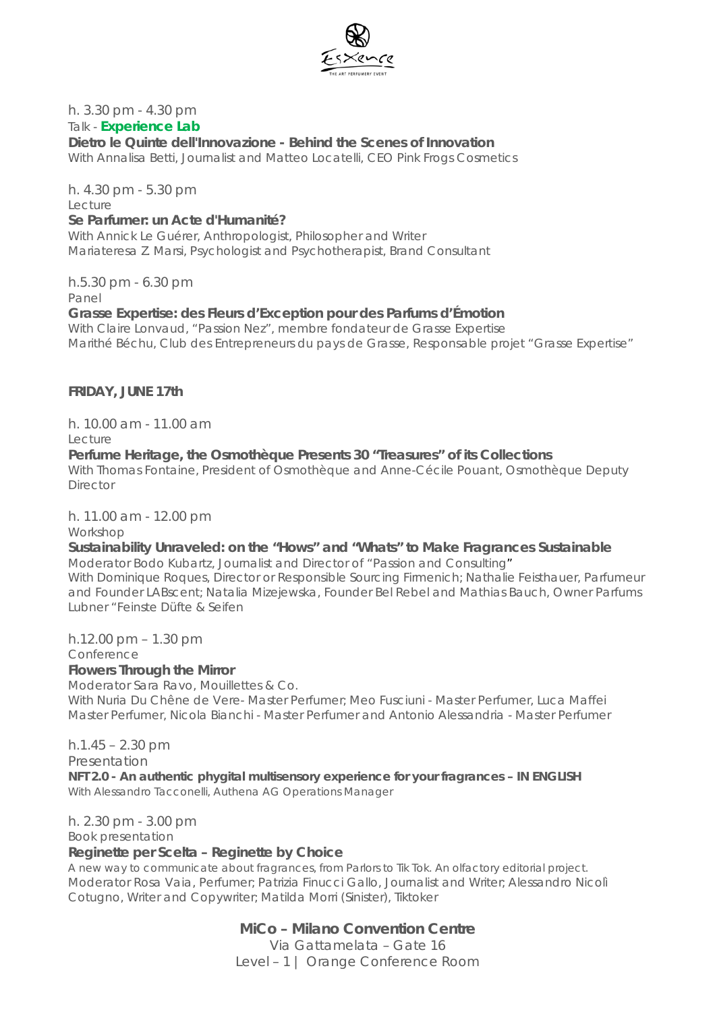

# h. 3.30 pm - 4.30 pm

### *Talk -* **Experience Lab**

### **Dietro le Quinte dell'Innovazione -** *Behind the Scenes of Innovation*

*With Annalisa Betti, Journalist and Matteo Locatelli, CEO Pink Frogs Cosmetics*

h. 4.30 pm - 5.30 pm *Lecture*

### **Se Parfumer: un Acte d'Humanité?**

*With Annick Le Guérer, Anthropologist, Philosopher and Writer Mariateresa Z. Marsi*, P*sychologist and Psychotherapist, Brand Consultant*

h.5.30 pm - 6.30 pm

*Panel*

### **Grasse Expertise: des Fleurs d'Exception pour des Parfums d'Émotion**

With Claire Lonvaud, "*Passion Nez", membre fondateur de Grasse Expertise* Marithé Béchu, *Club des Entrepreneurs du pays de Grasse, Responsable projet "Grasse Expertise"*

### **FRIDAY, JUNE 17th**

h. 10.00 am - 11.00 am

*Lecture*

### **Perfume Heritage, the Osmothèque Presents 30 "Treasures" of its Collections**

*With Thomas Fontaine*, *President of Osmothèque* and Anne-Cécile Pouant, *Osmothèque Deputy Director*

# h. 11.00 am - 12.00 pm

*Workshop*

# **Sustainability Unraveled: on the "Hows" and "Whats" to Make Fragrances Sustainable**

*Moderator Bodo Kubartz*, *Journalist and Director of "Passion and Consulting*" *With Dominique Roques, Director or Responsible Sourcing Firmenich; Nathalie Feisthauer, Parfumeur and Founder LABscent; Natalia Mizejewska, Founder Bel Rebel and Mathias Bauch, Owner Parfums Lubner "Feinste Düfte & Seifen*

h.12.00 pm – 1.30 pm *Conference*

### **Flowers Through the Mirror**

*Moderator Sara Ravo, Mouillettes & Co.*

*With Nuria Du Chêne de Vere- Master Perfumer; Meo Fusciuni - Master Perfumer, Luca Maffei Master Perfumer, Nicola Bianchi - Master Perfumer and Antonio Alessandria - Master Perfumer*

 $h.1.45 - 2.30$  pm

Presentation

**NFT 2.0 - An authentic phygital multisensory experience for your fragrances – IN ENGLISH** *With Alessandro Tacconelli, Authena AG Operations Manager*

h. 2.30 pm - 3.00 pm

*Book presentation*

### **Reginette per Scelta – Reginette by** *Choice*

A new way to communicate about fragrances, from Parlors to Tik Tok. An olfactory editorial project. *Moderator Rosa Vaia, Perfumer; Patrizia Finucci Gallo, Journalist and Writer; Alessandro Nicolì Cotugno, Writer and Copywriter; Matilda Morri (Sinister), Tiktoker*

**MiCo – Milano Convention Centre**

Via Gattamelata – Gate 16 Level – 1 | *Orange* Conference Room